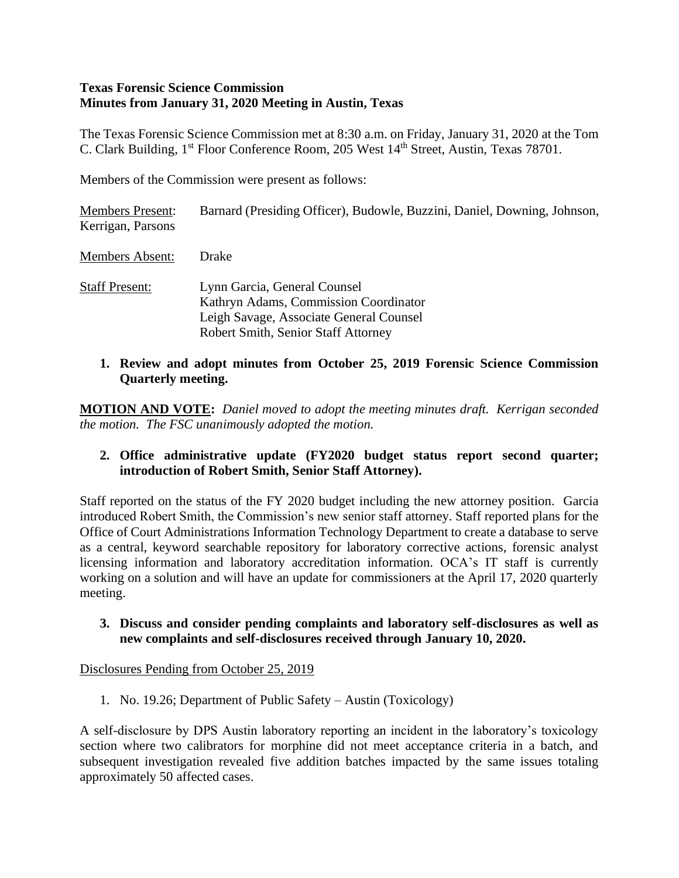#### **Texas Forensic Science Commission Minutes from January 31, 2020 Meeting in Austin, Texas**

The Texas Forensic Science Commission met at 8:30 a.m. on Friday, January 31, 2020 at the Tom C. Clark Building, 1<sup>st</sup> Floor Conference Room, 205 West 14<sup>th</sup> Street, Austin, Texas 78701.

Members of the Commission were present as follows:

| <b>Members Present:</b><br>Kerrigan, Parsons | Barnard (Presiding Officer), Budowle, Buzzini, Daniel, Downing, Johnson,                                                                                |
|----------------------------------------------|---------------------------------------------------------------------------------------------------------------------------------------------------------|
| <b>Members Absent:</b>                       | <b>Drake</b>                                                                                                                                            |
| <b>Staff Present:</b>                        | Lynn Garcia, General Counsel<br>Kathryn Adams, Commission Coordinator<br>Leigh Savage, Associate General Counsel<br>Robert Smith, Senior Staff Attorney |

**1. Review and adopt minutes from October 25, 2019 Forensic Science Commission Quarterly meeting.**

**MOTION AND VOTE:** *Daniel moved to adopt the meeting minutes draft. Kerrigan seconded the motion. The FSC unanimously adopted the motion.*

**2. Office administrative update (FY2020 budget status report second quarter; introduction of Robert Smith, Senior Staff Attorney).**

Staff reported on the status of the FY 2020 budget including the new attorney position. Garcia introduced Robert Smith, the Commission's new senior staff attorney. Staff reported plans for the Office of Court Administrations Information Technology Department to create a database to serve as a central, keyword searchable repository for laboratory corrective actions, forensic analyst licensing information and laboratory accreditation information. OCA's IT staff is currently working on a solution and will have an update for commissioners at the April 17, 2020 quarterly meeting.

**3. Discuss and consider pending complaints and laboratory self-disclosures as well as new complaints and self-disclosures received through January 10, 2020.** 

Disclosures Pending from October 25, 2019

1. No. 19.26; Department of Public Safety – Austin (Toxicology)

A self-disclosure by DPS Austin laboratory reporting an incident in the laboratory's toxicology section where two calibrators for morphine did not meet acceptance criteria in a batch, and subsequent investigation revealed five addition batches impacted by the same issues totaling approximately 50 affected cases.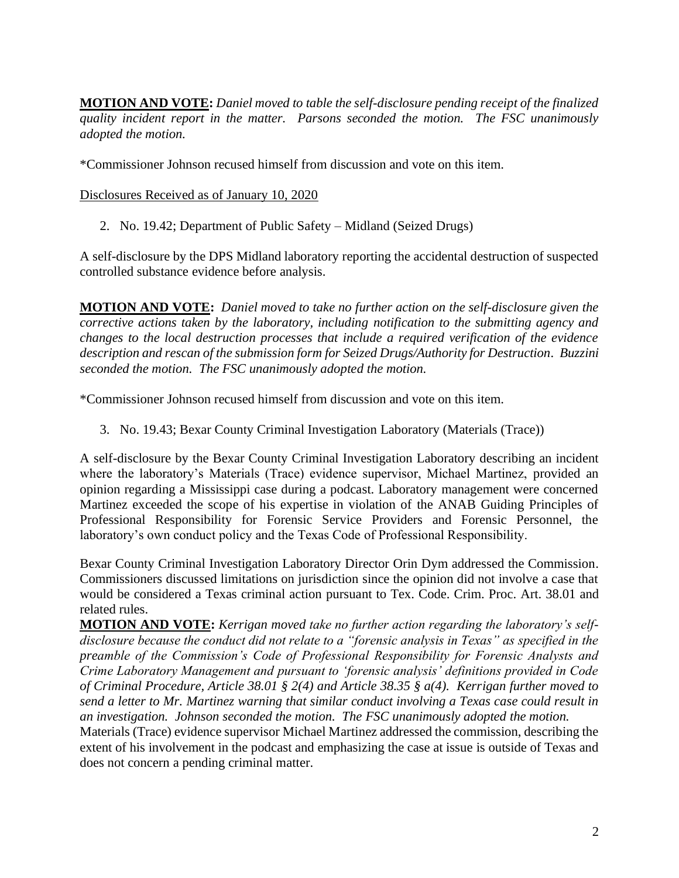**MOTION AND VOTE:** *Daniel moved to table the self-disclosure pending receipt of the finalized quality incident report in the matter. Parsons seconded the motion. The FSC unanimously adopted the motion.*

\*Commissioner Johnson recused himself from discussion and vote on this item.

Disclosures Received as of January 10, 2020

2. No. 19.42; Department of Public Safety – Midland (Seized Drugs)

A self-disclosure by the DPS Midland laboratory reporting the accidental destruction of suspected controlled substance evidence before analysis.

**MOTION AND VOTE:** *Daniel moved to take no further action on the self-disclosure given the corrective actions taken by the laboratory, including notification to the submitting agency and changes to the local destruction processes that include a required verification of the evidence description and rescan of the submission form for Seized Drugs/Authority for Destruction. Buzzini seconded the motion. The FSC unanimously adopted the motion.*

\*Commissioner Johnson recused himself from discussion and vote on this item.

3. No. 19.43; Bexar County Criminal Investigation Laboratory (Materials (Trace))

A self-disclosure by the Bexar County Criminal Investigation Laboratory describing an incident where the laboratory's Materials (Trace) evidence supervisor, Michael Martinez, provided an opinion regarding a Mississippi case during a podcast. Laboratory management were concerned Martinez exceeded the scope of his expertise in violation of the ANAB Guiding Principles of Professional Responsibility for Forensic Service Providers and Forensic Personnel, the laboratory's own conduct policy and the Texas Code of Professional Responsibility.

Bexar County Criminal Investigation Laboratory Director Orin Dym addressed the Commission. Commissioners discussed limitations on jurisdiction since the opinion did not involve a case that would be considered a Texas criminal action pursuant to Tex. Code. Crim. Proc. Art. 38.01 and related rules.

**MOTION AND VOTE:** *Kerrigan moved take no further action regarding the laboratory's selfdisclosure because the conduct did not relate to a "forensic analysis in Texas" as specified in the preamble of the Commission's Code of Professional Responsibility for Forensic Analysts and Crime Laboratory Management and pursuant to 'forensic analysis' definitions provided in Code of Criminal Procedure, Article 38.01 § 2(4) and Article 38.35 § a(4). Kerrigan further moved to send a letter to Mr. Martinez warning that similar conduct involving a Texas case could result in an investigation. Johnson seconded the motion. The FSC unanimously adopted the motion.*

Materials (Trace) evidence supervisor Michael Martinez addressed the commission, describing the extent of his involvement in the podcast and emphasizing the case at issue is outside of Texas and does not concern a pending criminal matter.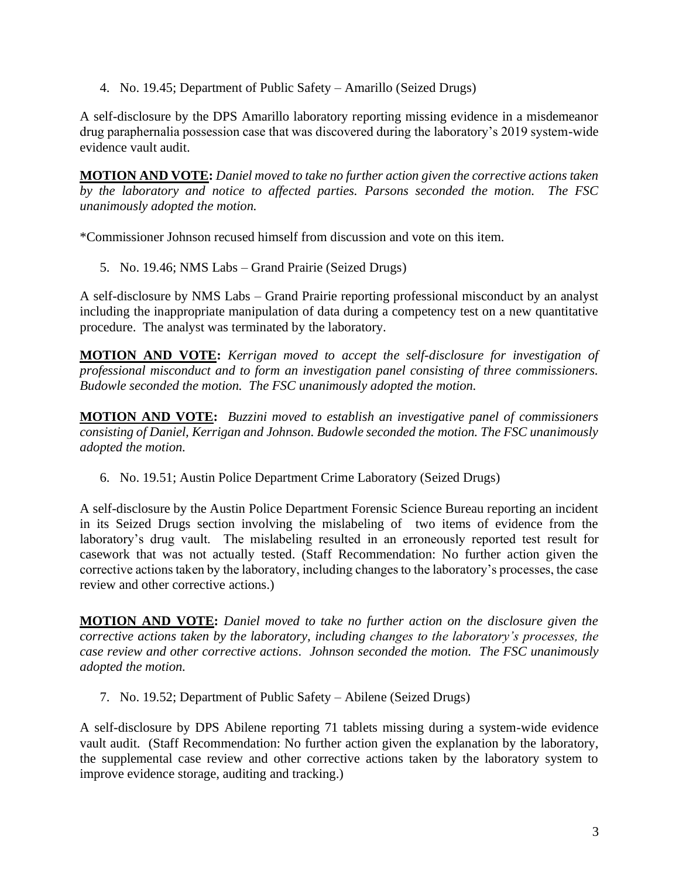4. No. 19.45; Department of Public Safety – Amarillo (Seized Drugs)

A self-disclosure by the DPS Amarillo laboratory reporting missing evidence in a misdemeanor drug paraphernalia possession case that was discovered during the laboratory's 2019 system-wide evidence vault audit.

**MOTION AND VOTE:** *Daniel moved to take no further action given the corrective actions taken by the laboratory and notice to affected parties. Parsons seconded the motion. The FSC unanimously adopted the motion.*

\*Commissioner Johnson recused himself from discussion and vote on this item.

5. No. 19.46; NMS Labs – Grand Prairie (Seized Drugs)

A self-disclosure by NMS Labs – Grand Prairie reporting professional misconduct by an analyst including the inappropriate manipulation of data during a competency test on a new quantitative procedure. The analyst was terminated by the laboratory.

**MOTION AND VOTE:** *Kerrigan moved to accept the self-disclosure for investigation of professional misconduct and to form an investigation panel consisting of three commissioners. Budowle seconded the motion. The FSC unanimously adopted the motion.*

**MOTION AND VOTE:** *Buzzini moved to establish an investigative panel of commissioners consisting of Daniel, Kerrigan and Johnson. Budowle seconded the motion. The FSC unanimously adopted the motion.* 

6. No. 19.51; Austin Police Department Crime Laboratory (Seized Drugs)

A self-disclosure by the Austin Police Department Forensic Science Bureau reporting an incident in its Seized Drugs section involving the mislabeling of two items of evidence from the laboratory's drug vault. The mislabeling resulted in an erroneously reported test result for casework that was not actually tested. (Staff Recommendation: No further action given the corrective actions taken by the laboratory, including changes to the laboratory's processes, the case review and other corrective actions.)

**MOTION AND VOTE:** *Daniel moved to take no further action on the disclosure given the corrective actions taken by the laboratory, including changes to the laboratory's processes, the case review and other corrective actions. Johnson seconded the motion. The FSC unanimously adopted the motion.*

7. No. 19.52; Department of Public Safety – Abilene (Seized Drugs)

A self-disclosure by DPS Abilene reporting 71 tablets missing during a system-wide evidence vault audit. (Staff Recommendation: No further action given the explanation by the laboratory, the supplemental case review and other corrective actions taken by the laboratory system to improve evidence storage, auditing and tracking.)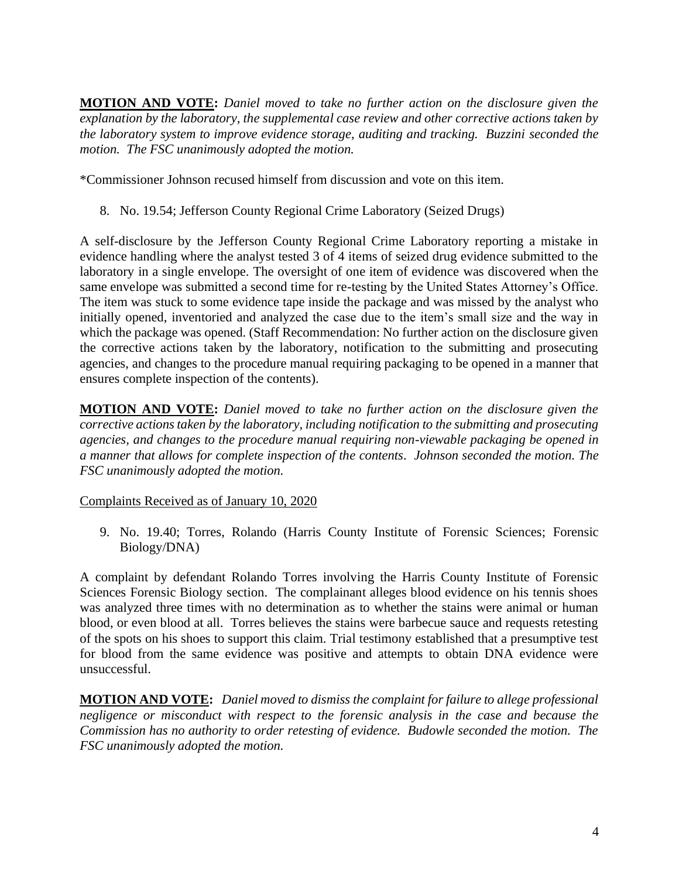**MOTION AND VOTE:** *Daniel moved to take no further action on the disclosure given the explanation by the laboratory, the supplemental case review and other corrective actions taken by the laboratory system to improve evidence storage, auditing and tracking. Buzzini seconded the motion. The FSC unanimously adopted the motion.*

\*Commissioner Johnson recused himself from discussion and vote on this item.

8. No. 19.54; Jefferson County Regional Crime Laboratory (Seized Drugs)

A self-disclosure by the Jefferson County Regional Crime Laboratory reporting a mistake in evidence handling where the analyst tested 3 of 4 items of seized drug evidence submitted to the laboratory in a single envelope. The oversight of one item of evidence was discovered when the same envelope was submitted a second time for re-testing by the United States Attorney's Office. The item was stuck to some evidence tape inside the package and was missed by the analyst who initially opened, inventoried and analyzed the case due to the item's small size and the way in which the package was opened. (Staff Recommendation: No further action on the disclosure given the corrective actions taken by the laboratory, notification to the submitting and prosecuting agencies, and changes to the procedure manual requiring packaging to be opened in a manner that ensures complete inspection of the contents).

**MOTION AND VOTE:** *Daniel moved to take no further action on the disclosure given the corrective actions taken by the laboratory, including notification to the submitting and prosecuting agencies, and changes to the procedure manual requiring non-viewable packaging be opened in a manner that allows for complete inspection of the contents. Johnson seconded the motion. The FSC unanimously adopted the motion.*

Complaints Received as of January 10, 2020

9. No. 19.40; Torres, Rolando (Harris County Institute of Forensic Sciences; Forensic Biology/DNA)

A complaint by defendant Rolando Torres involving the Harris County Institute of Forensic Sciences Forensic Biology section. The complainant alleges blood evidence on his tennis shoes was analyzed three times with no determination as to whether the stains were animal or human blood, or even blood at all. Torres believes the stains were barbecue sauce and requests retesting of the spots on his shoes to support this claim. Trial testimony established that a presumptive test for blood from the same evidence was positive and attempts to obtain DNA evidence were unsuccessful.

**MOTION AND VOTE:** *Daniel moved to dismiss the complaint for failure to allege professional negligence or misconduct with respect to the forensic analysis in the case and because the Commission has no authority to order retesting of evidence. Budowle seconded the motion. The FSC unanimously adopted the motion.*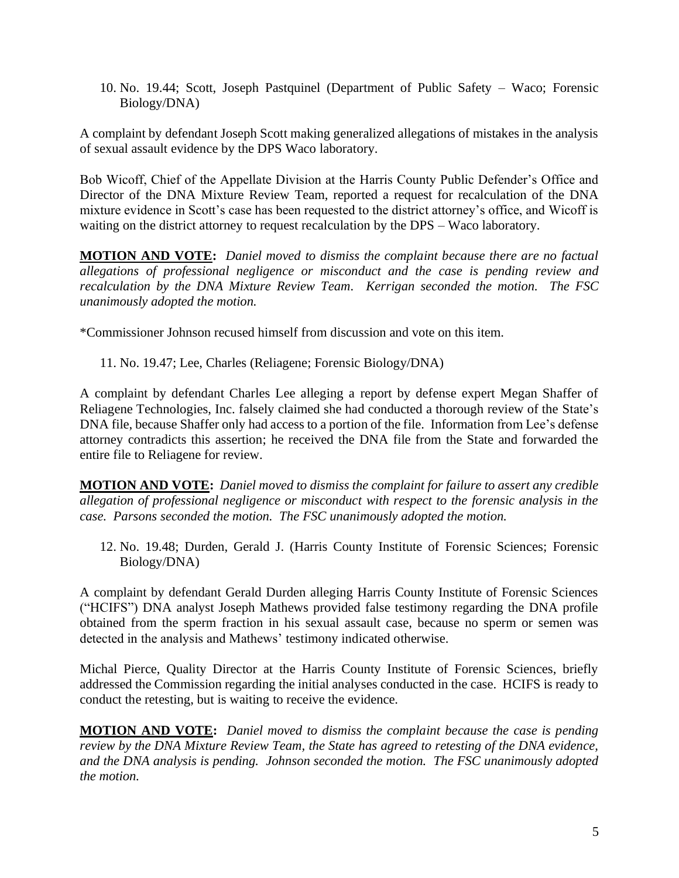10. No. 19.44; Scott, Joseph Pastquinel (Department of Public Safety – Waco; Forensic Biology/DNA)

A complaint by defendant Joseph Scott making generalized allegations of mistakes in the analysis of sexual assault evidence by the DPS Waco laboratory.

Bob Wicoff, Chief of the Appellate Division at the Harris County Public Defender's Office and Director of the DNA Mixture Review Team, reported a request for recalculation of the DNA mixture evidence in Scott's case has been requested to the district attorney's office, and Wicoff is waiting on the district attorney to request recalculation by the DPS – Waco laboratory.

**MOTION AND VOTE:** *Daniel moved to dismiss the complaint because there are no factual allegations of professional negligence or misconduct and the case is pending review and recalculation by the DNA Mixture Review Team. Kerrigan seconded the motion. The FSC unanimously adopted the motion.* 

\*Commissioner Johnson recused himself from discussion and vote on this item.

11. No. 19.47; Lee, Charles (Reliagene; Forensic Biology/DNA)

A complaint by defendant Charles Lee alleging a report by defense expert Megan Shaffer of Reliagene Technologies, Inc. falsely claimed she had conducted a thorough review of the State's DNA file, because Shaffer only had access to a portion of the file. Information from Lee's defense attorney contradicts this assertion; he received the DNA file from the State and forwarded the entire file to Reliagene for review.

**MOTION AND VOTE:** *Daniel moved to dismiss the complaint for failure to assert any credible allegation of professional negligence or misconduct with respect to the forensic analysis in the case. Parsons seconded the motion. The FSC unanimously adopted the motion.* 

12. No. 19.48; Durden, Gerald J. (Harris County Institute of Forensic Sciences; Forensic Biology/DNA)

A complaint by defendant Gerald Durden alleging Harris County Institute of Forensic Sciences ("HCIFS") DNA analyst Joseph Mathews provided false testimony regarding the DNA profile obtained from the sperm fraction in his sexual assault case, because no sperm or semen was detected in the analysis and Mathews' testimony indicated otherwise.

Michal Pierce, Quality Director at the Harris County Institute of Forensic Sciences, briefly addressed the Commission regarding the initial analyses conducted in the case. HCIFS is ready to conduct the retesting, but is waiting to receive the evidence.

**MOTION AND VOTE:** *Daniel moved to dismiss the complaint because the case is pending review by the DNA Mixture Review Team, the State has agreed to retesting of the DNA evidence, and the DNA analysis is pending. Johnson seconded the motion. The FSC unanimously adopted the motion.*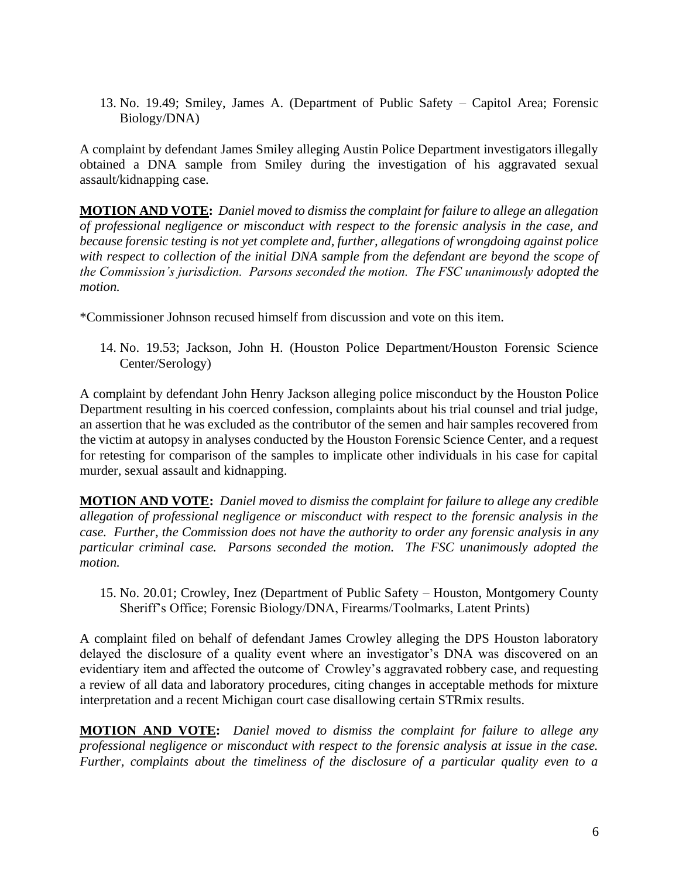13. No. 19.49; Smiley, James A. (Department of Public Safety – Capitol Area; Forensic Biology/DNA)

A complaint by defendant James Smiley alleging Austin Police Department investigators illegally obtained a DNA sample from Smiley during the investigation of his aggravated sexual assault/kidnapping case.

**MOTION AND VOTE:** *Daniel moved to dismiss the complaint for failure to allege an allegation of professional negligence or misconduct with respect to the forensic analysis in the case, and because forensic testing is not yet complete and, further, allegations of wrongdoing against police with respect to collection of the initial DNA sample from the defendant are beyond the scope of the Commission's jurisdiction. Parsons seconded the motion. The FSC unanimously adopted the motion.* 

\*Commissioner Johnson recused himself from discussion and vote on this item.

14. No. 19.53; Jackson, John H. (Houston Police Department/Houston Forensic Science Center/Serology)

A complaint by defendant John Henry Jackson alleging police misconduct by the Houston Police Department resulting in his coerced confession, complaints about his trial counsel and trial judge, an assertion that he was excluded as the contributor of the semen and hair samples recovered from the victim at autopsy in analyses conducted by the Houston Forensic Science Center, and a request for retesting for comparison of the samples to implicate other individuals in his case for capital murder, sexual assault and kidnapping.

**MOTION AND VOTE:** *Daniel moved to dismiss the complaint for failure to allege any credible allegation of professional negligence or misconduct with respect to the forensic analysis in the case. Further, the Commission does not have the authority to order any forensic analysis in any particular criminal case. Parsons seconded the motion. The FSC unanimously adopted the motion.* 

15. No. 20.01; Crowley, Inez (Department of Public Safety – Houston, Montgomery County Sheriff's Office; Forensic Biology/DNA, Firearms/Toolmarks, Latent Prints)

A complaint filed on behalf of defendant James Crowley alleging the DPS Houston laboratory delayed the disclosure of a quality event where an investigator's DNA was discovered on an evidentiary item and affected the outcome of Crowley's aggravated robbery case, and requesting a review of all data and laboratory procedures, citing changes in acceptable methods for mixture interpretation and a recent Michigan court case disallowing certain STRmix results.

**MOTION AND VOTE:** *Daniel moved to dismiss the complaint for failure to allege any professional negligence or misconduct with respect to the forensic analysis at issue in the case. Further, complaints about the timeliness of the disclosure of a particular quality even to a*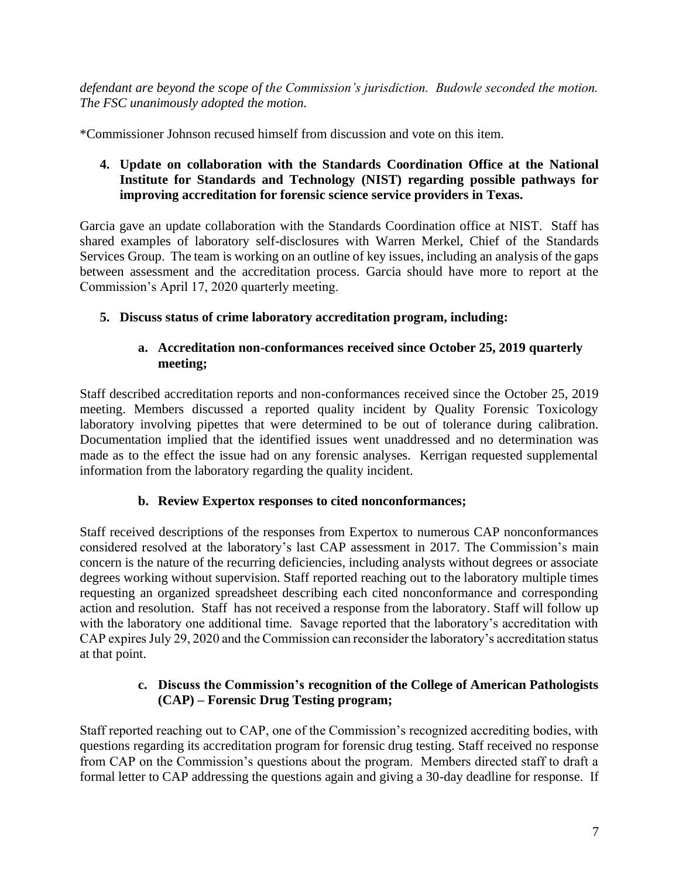*defendant are beyond the scope of the Commission's jurisdiction. Budowle seconded the motion. The FSC unanimously adopted the motion.* 

\*Commissioner Johnson recused himself from discussion and vote on this item.

# **4. Update on collaboration with the Standards Coordination Office at the National Institute for Standards and Technology (NIST) regarding possible pathways for improving accreditation for forensic science service providers in Texas.**

Garcia gave an update collaboration with the Standards Coordination office at NIST. Staff has shared examples of laboratory self-disclosures with Warren Merkel, Chief of the Standards Services Group. The team is working on an outline of key issues, including an analysis of the gaps between assessment and the accreditation process. Garcia should have more to report at the Commission's April 17, 2020 quarterly meeting.

# **5. Discuss status of crime laboratory accreditation program, including:**

### **a. Accreditation non-conformances received since October 25, 2019 quarterly meeting;**

Staff described accreditation reports and non-conformances received since the October 25, 2019 meeting. Members discussed a reported quality incident by Quality Forensic Toxicology laboratory involving pipettes that were determined to be out of tolerance during calibration. Documentation implied that the identified issues went unaddressed and no determination was made as to the effect the issue had on any forensic analyses. Kerrigan requested supplemental information from the laboratory regarding the quality incident.

### **b. Review Expertox responses to cited nonconformances;**

Staff received descriptions of the responses from Expertox to numerous CAP nonconformances considered resolved at the laboratory's last CAP assessment in 2017. The Commission's main concern is the nature of the recurring deficiencies, including analysts without degrees or associate degrees working without supervision. Staff reported reaching out to the laboratory multiple times requesting an organized spreadsheet describing each cited nonconformance and corresponding action and resolution. Staff has not received a response from the laboratory. Staff will follow up with the laboratory one additional time. Savage reported that the laboratory's accreditation with CAP expires July 29, 2020 and the Commission can reconsider the laboratory's accreditation status at that point.

### **c. Discuss the Commission's recognition of the College of American Pathologists (CAP) – Forensic Drug Testing program;**

Staff reported reaching out to CAP, one of the Commission's recognized accrediting bodies, with questions regarding its accreditation program for forensic drug testing. Staff received no response from CAP on the Commission's questions about the program. Members directed staff to draft a formal letter to CAP addressing the questions again and giving a 30-day deadline for response. If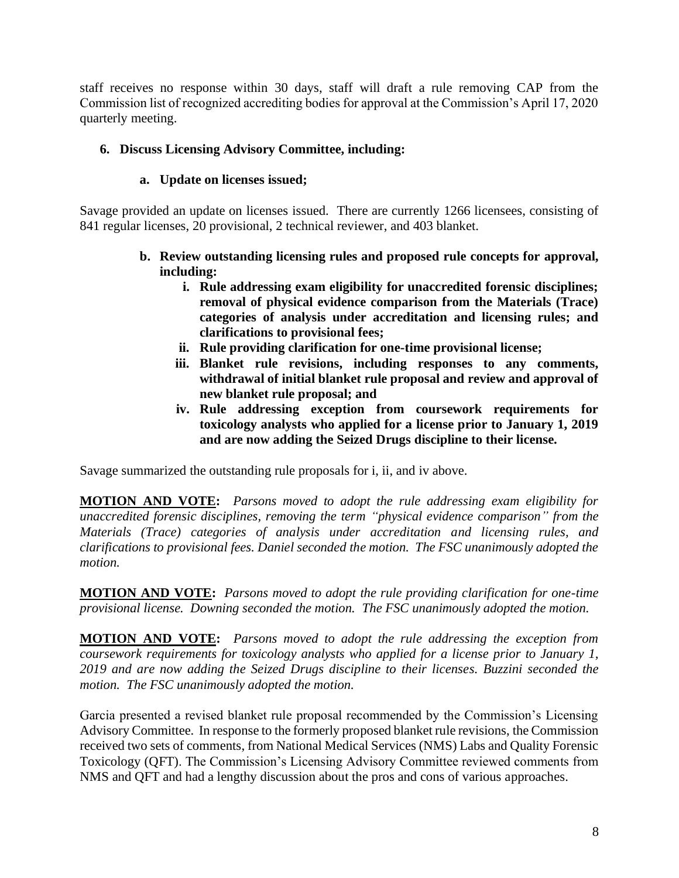staff receives no response within 30 days, staff will draft a rule removing CAP from the Commission list of recognized accrediting bodies for approval at the Commission's April 17, 2020 quarterly meeting.

# **6. Discuss Licensing Advisory Committee, including:**

### **a. Update on licenses issued;**

Savage provided an update on licenses issued. There are currently 1266 licensees, consisting of 841 regular licenses, 20 provisional, 2 technical reviewer, and 403 blanket.

- **b. Review outstanding licensing rules and proposed rule concepts for approval, including:**
	- **i. Rule addressing exam eligibility for unaccredited forensic disciplines; removal of physical evidence comparison from the Materials (Trace) categories of analysis under accreditation and licensing rules; and clarifications to provisional fees;**
	- **ii. Rule providing clarification for one-time provisional license;**
	- **iii. Blanket rule revisions, including responses to any comments, withdrawal of initial blanket rule proposal and review and approval of new blanket rule proposal; and**
	- **iv. Rule addressing exception from coursework requirements for toxicology analysts who applied for a license prior to January 1, 2019 and are now adding the Seized Drugs discipline to their license.**

Savage summarized the outstanding rule proposals for i, ii, and iv above.

**MOTION AND VOTE:** *Parsons moved to adopt the rule addressing exam eligibility for unaccredited forensic disciplines, removing the term "physical evidence comparison" from the Materials (Trace) categories of analysis under accreditation and licensing rules, and clarifications to provisional fees. Daniel seconded the motion. The FSC unanimously adopted the motion.* 

**MOTION AND VOTE:** *Parsons moved to adopt the rule providing clarification for one-time provisional license. Downing seconded the motion. The FSC unanimously adopted the motion.* 

**MOTION AND VOTE:** *Parsons moved to adopt the rule addressing the exception from coursework requirements for toxicology analysts who applied for a license prior to January 1, 2019 and are now adding the Seized Drugs discipline to their licenses. Buzzini seconded the motion. The FSC unanimously adopted the motion.* 

Garcia presented a revised blanket rule proposal recommended by the Commission's Licensing Advisory Committee. In response to the formerly proposed blanket rule revisions, the Commission received two sets of comments, from National Medical Services (NMS) Labs and Quality Forensic Toxicology (QFT). The Commission's Licensing Advisory Committee reviewed comments from NMS and QFT and had a lengthy discussion about the pros and cons of various approaches.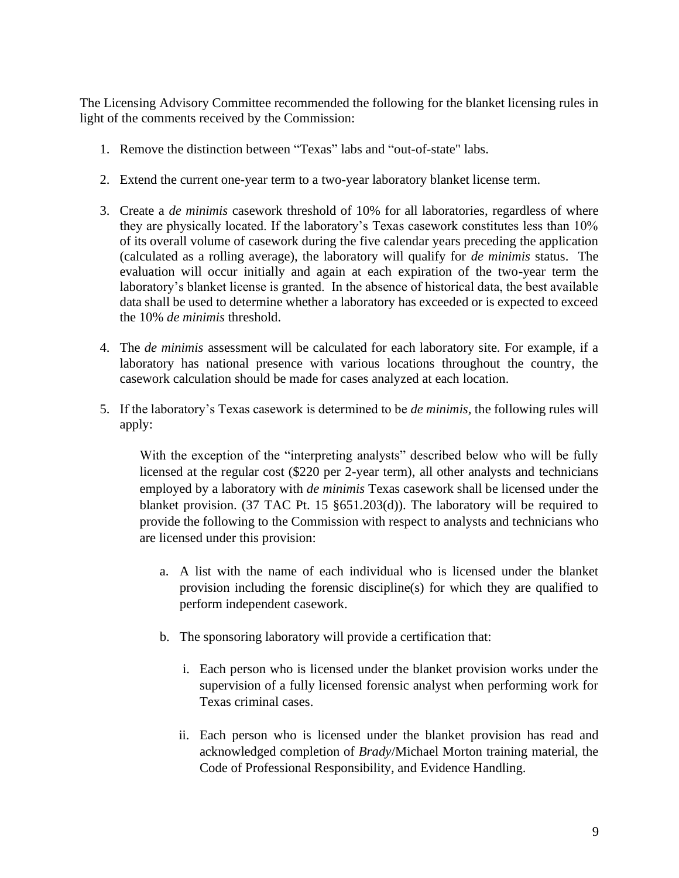The Licensing Advisory Committee recommended the following for the blanket licensing rules in light of the comments received by the Commission:

- 1. Remove the distinction between "Texas" labs and "out-of-state" labs.
- 2. Extend the current one-year term to a two-year laboratory blanket license term.
- 3. Create a *de minimis* casework threshold of 10% for all laboratories, regardless of where they are physically located. If the laboratory's Texas casework constitutes less than 10% of its overall volume of casework during the five calendar years preceding the application (calculated as a rolling average), the laboratory will qualify for *de minimis* status. The evaluation will occur initially and again at each expiration of the two-year term the laboratory's blanket license is granted. In the absence of historical data, the best available data shall be used to determine whether a laboratory has exceeded or is expected to exceed the 10% *de minimis* threshold.
- 4. The *de minimis* assessment will be calculated for each laboratory site. For example, if a laboratory has national presence with various locations throughout the country, the casework calculation should be made for cases analyzed at each location.
- 5. If the laboratory's Texas casework is determined to be *de minimis,* the following rules will apply:

With the exception of the "interpreting analysts" described below who will be fully licensed at the regular cost (\$220 per 2-year term), all other analysts and technicians employed by a laboratory with *de minimis* Texas casework shall be licensed under the blanket provision. (37 TAC Pt. 15 §651.203(d)). The laboratory will be required to provide the following to the Commission with respect to analysts and technicians who are licensed under this provision:

- a. A list with the name of each individual who is licensed under the blanket provision including the forensic discipline(s) for which they are qualified to perform independent casework.
- b. The sponsoring laboratory will provide a certification that:
	- i. Each person who is licensed under the blanket provision works under the supervision of a fully licensed forensic analyst when performing work for Texas criminal cases.
	- ii. Each person who is licensed under the blanket provision has read and acknowledged completion of *Brady*/Michael Morton training material, the Code of Professional Responsibility, and Evidence Handling.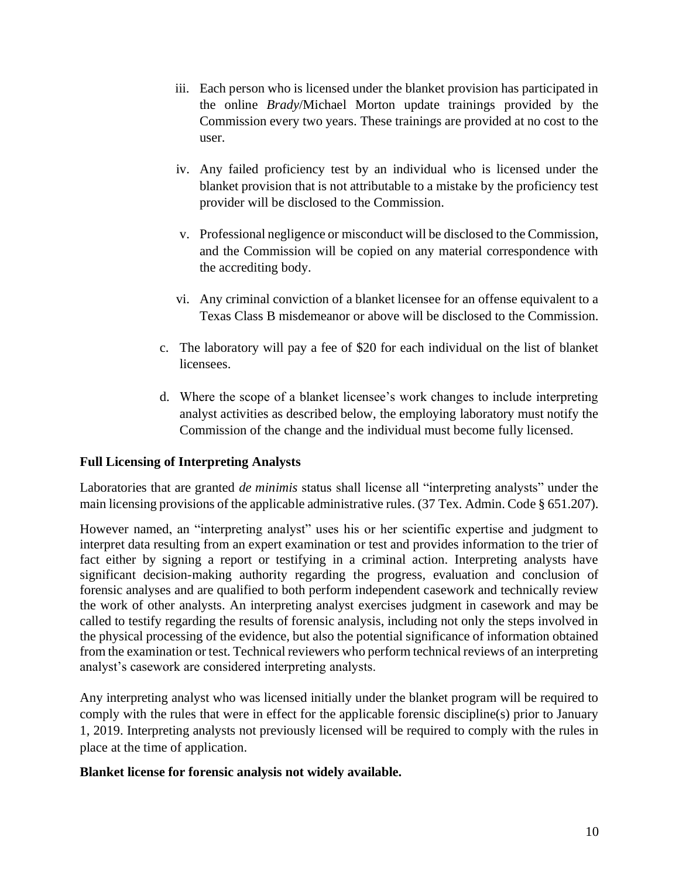- iii. Each person who is licensed under the blanket provision has participated in the online *Brady*/Michael Morton update trainings provided by the Commission every two years. These trainings are provided at no cost to the user.
- iv. Any failed proficiency test by an individual who is licensed under the blanket provision that is not attributable to a mistake by the proficiency test provider will be disclosed to the Commission.
- v. Professional negligence or misconduct will be disclosed to the Commission, and the Commission will be copied on any material correspondence with the accrediting body.
- vi. Any criminal conviction of a blanket licensee for an offense equivalent to a Texas Class B misdemeanor or above will be disclosed to the Commission.
- c. The laboratory will pay a fee of \$20 for each individual on the list of blanket licensees.
- d. Where the scope of a blanket licensee's work changes to include interpreting analyst activities as described below, the employing laboratory must notify the Commission of the change and the individual must become fully licensed.

### **Full Licensing of Interpreting Analysts**

Laboratories that are granted *de minimis* status shall license all "interpreting analysts" under the main licensing provisions of the applicable administrative rules. (37 Tex. Admin. Code § 651.207).

However named, an "interpreting analyst" uses his or her scientific expertise and judgment to interpret data resulting from an expert examination or test and provides information to the trier of fact either by signing a report or testifying in a criminal action. Interpreting analysts have significant decision-making authority regarding the progress, evaluation and conclusion of forensic analyses and are qualified to both perform independent casework and technically review the work of other analysts. An interpreting analyst exercises judgment in casework and may be called to testify regarding the results of forensic analysis, including not only the steps involved in the physical processing of the evidence, but also the potential significance of information obtained from the examination or test. Technical reviewers who perform technical reviews of an interpreting analyst's casework are considered interpreting analysts.

Any interpreting analyst who was licensed initially under the blanket program will be required to comply with the rules that were in effect for the applicable forensic discipline(s) prior to January 1, 2019. Interpreting analysts not previously licensed will be required to comply with the rules in place at the time of application.

### **Blanket license for forensic analysis not widely available.**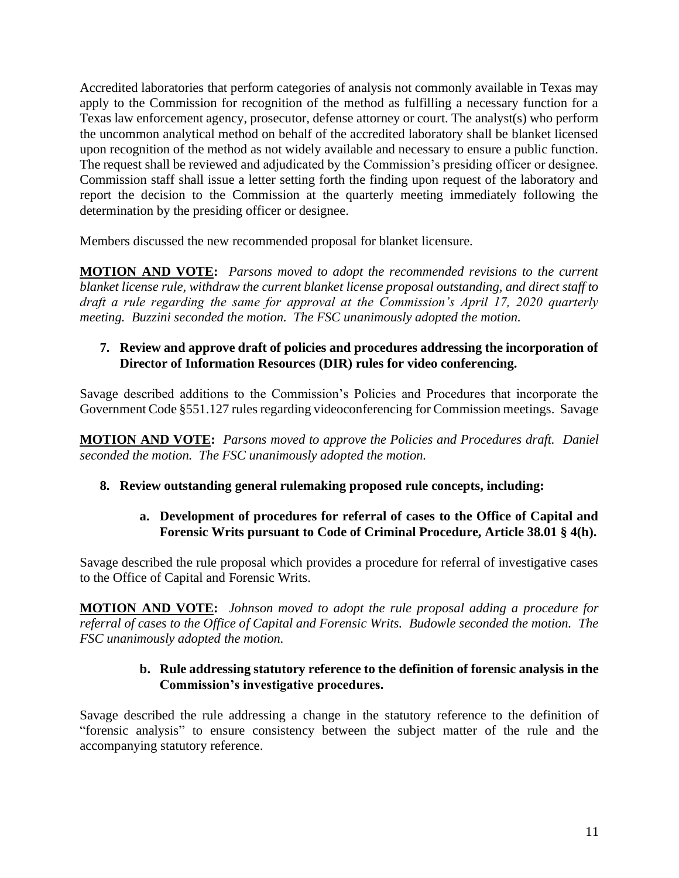Accredited laboratories that perform categories of analysis not commonly available in Texas may apply to the Commission for recognition of the method as fulfilling a necessary function for a Texas law enforcement agency, prosecutor, defense attorney or court. The analyst(s) who perform the uncommon analytical method on behalf of the accredited laboratory shall be blanket licensed upon recognition of the method as not widely available and necessary to ensure a public function. The request shall be reviewed and adjudicated by the Commission's presiding officer or designee. Commission staff shall issue a letter setting forth the finding upon request of the laboratory and report the decision to the Commission at the quarterly meeting immediately following the determination by the presiding officer or designee.

Members discussed the new recommended proposal for blanket licensure.

**MOTION AND VOTE:** *Parsons moved to adopt the recommended revisions to the current blanket license rule, withdraw the current blanket license proposal outstanding, and direct staff to draft a rule regarding the same for approval at the Commission's April 17, 2020 quarterly meeting. Buzzini seconded the motion. The FSC unanimously adopted the motion.*

### **7. Review and approve draft of policies and procedures addressing the incorporation of Director of Information Resources (DIR) rules for video conferencing.**

Savage described additions to the Commission's Policies and Procedures that incorporate the Government Code §551.127 rules regarding videoconferencing for Commission meetings. Savage

**MOTION AND VOTE:** *Parsons moved to approve the Policies and Procedures draft. Daniel seconded the motion. The FSC unanimously adopted the motion.*

# **8. Review outstanding general rulemaking proposed rule concepts, including:**

# **a. Development of procedures for referral of cases to the Office of Capital and Forensic Writs pursuant to Code of Criminal Procedure, Article 38.01 § 4(h).**

Savage described the rule proposal which provides a procedure for referral of investigative cases to the Office of Capital and Forensic Writs.

**MOTION AND VOTE:** *Johnson moved to adopt the rule proposal adding a procedure for referral of cases to the Office of Capital and Forensic Writs. Budowle seconded the motion. The FSC unanimously adopted the motion.* 

# **b. Rule addressing statutory reference to the definition of forensic analysis in the Commission's investigative procedures.**

Savage described the rule addressing a change in the statutory reference to the definition of "forensic analysis" to ensure consistency between the subject matter of the rule and the accompanying statutory reference.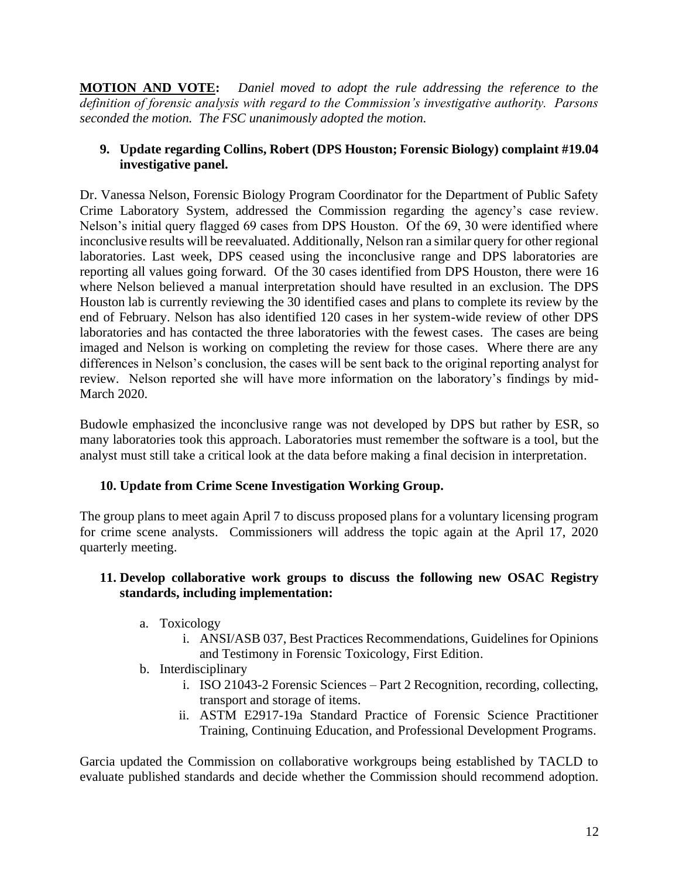**MOTION AND VOTE:** *Daniel moved to adopt the rule addressing the reference to the definition of forensic analysis with regard to the Commission's investigative authority. Parsons seconded the motion. The FSC unanimously adopted the motion.* 

### **9. Update regarding Collins, Robert (DPS Houston; Forensic Biology) complaint #19.04 investigative panel.**

Dr. Vanessa Nelson, Forensic Biology Program Coordinator for the Department of Public Safety Crime Laboratory System, addressed the Commission regarding the agency's case review. Nelson's initial query flagged 69 cases from DPS Houston. Of the 69, 30 were identified where inconclusive results will be reevaluated. Additionally, Nelson ran a similar query for other regional laboratories. Last week, DPS ceased using the inconclusive range and DPS laboratories are reporting all values going forward. Of the 30 cases identified from DPS Houston, there were 16 where Nelson believed a manual interpretation should have resulted in an exclusion. The DPS Houston lab is currently reviewing the 30 identified cases and plans to complete its review by the end of February. Nelson has also identified 120 cases in her system-wide review of other DPS laboratories and has contacted the three laboratories with the fewest cases. The cases are being imaged and Nelson is working on completing the review for those cases. Where there are any differences in Nelson's conclusion, the cases will be sent back to the original reporting analyst for review. Nelson reported she will have more information on the laboratory's findings by mid-March 2020.

Budowle emphasized the inconclusive range was not developed by DPS but rather by ESR, so many laboratories took this approach. Laboratories must remember the software is a tool, but the analyst must still take a critical look at the data before making a final decision in interpretation.

### **10. Update from Crime Scene Investigation Working Group.**

The group plans to meet again April 7 to discuss proposed plans for a voluntary licensing program for crime scene analysts. Commissioners will address the topic again at the April 17, 2020 quarterly meeting.

### **11. Develop collaborative work groups to discuss the following new OSAC Registry standards, including implementation:**

- a. Toxicology
	- i. ANSI/ASB 037, Best Practices Recommendations, Guidelines for Opinions and Testimony in Forensic Toxicology, First Edition.
- b. Interdisciplinary
	- i. ISO 21043-2 Forensic Sciences Part 2 Recognition, recording, collecting, transport and storage of items.
	- ii. ASTM E2917-19a Standard Practice of Forensic Science Practitioner Training, Continuing Education, and Professional Development Programs.

Garcia updated the Commission on collaborative workgroups being established by TACLD to evaluate published standards and decide whether the Commission should recommend adoption.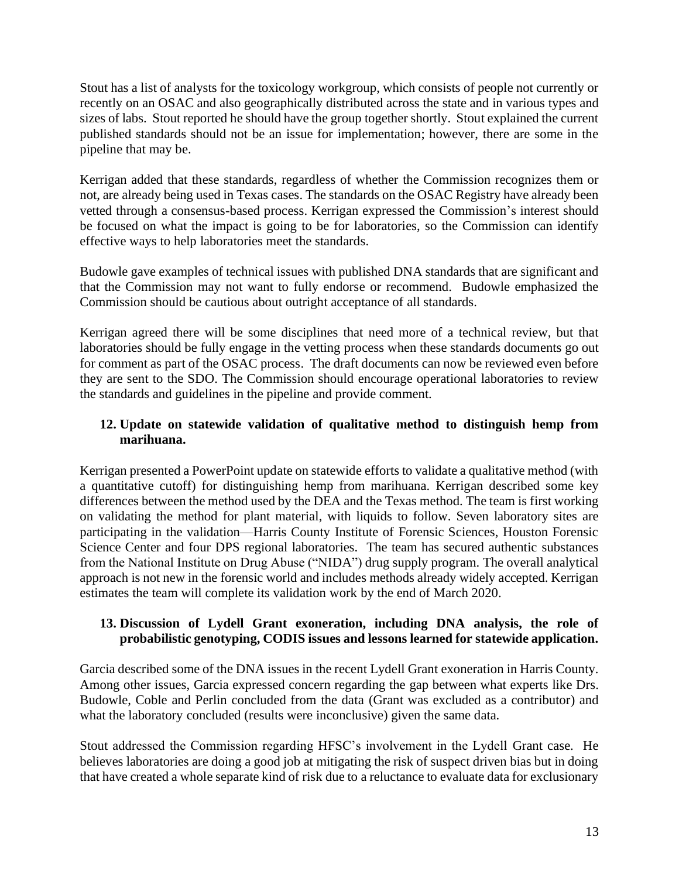Stout has a list of analysts for the toxicology workgroup, which consists of people not currently or recently on an OSAC and also geographically distributed across the state and in various types and sizes of labs. Stout reported he should have the group together shortly. Stout explained the current published standards should not be an issue for implementation; however, there are some in the pipeline that may be.

Kerrigan added that these standards, regardless of whether the Commission recognizes them or not, are already being used in Texas cases. The standards on the OSAC Registry have already been vetted through a consensus-based process. Kerrigan expressed the Commission's interest should be focused on what the impact is going to be for laboratories, so the Commission can identify effective ways to help laboratories meet the standards.

Budowle gave examples of technical issues with published DNA standards that are significant and that the Commission may not want to fully endorse or recommend. Budowle emphasized the Commission should be cautious about outright acceptance of all standards.

Kerrigan agreed there will be some disciplines that need more of a technical review, but that laboratories should be fully engage in the vetting process when these standards documents go out for comment as part of the OSAC process. The draft documents can now be reviewed even before they are sent to the SDO. The Commission should encourage operational laboratories to review the standards and guidelines in the pipeline and provide comment.

# **12. Update on statewide validation of qualitative method to distinguish hemp from marihuana.**

Kerrigan presented a PowerPoint update on statewide efforts to validate a qualitative method (with a quantitative cutoff) for distinguishing hemp from marihuana. Kerrigan described some key differences between the method used by the DEA and the Texas method. The team is first working on validating the method for plant material, with liquids to follow. Seven laboratory sites are participating in the validation—Harris County Institute of Forensic Sciences, Houston Forensic Science Center and four DPS regional laboratories. The team has secured authentic substances from the National Institute on Drug Abuse ("NIDA") drug supply program. The overall analytical approach is not new in the forensic world and includes methods already widely accepted. Kerrigan estimates the team will complete its validation work by the end of March 2020.

# **13. Discussion of Lydell Grant exoneration, including DNA analysis, the role of probabilistic genotyping, CODIS issues and lessons learned for statewide application.**

Garcia described some of the DNA issues in the recent Lydell Grant exoneration in Harris County. Among other issues, Garcia expressed concern regarding the gap between what experts like Drs. Budowle, Coble and Perlin concluded from the data (Grant was excluded as a contributor) and what the laboratory concluded (results were inconclusive) given the same data.

Stout addressed the Commission regarding HFSC's involvement in the Lydell Grant case. He believes laboratories are doing a good job at mitigating the risk of suspect driven bias but in doing that have created a whole separate kind of risk due to a reluctance to evaluate data for exclusionary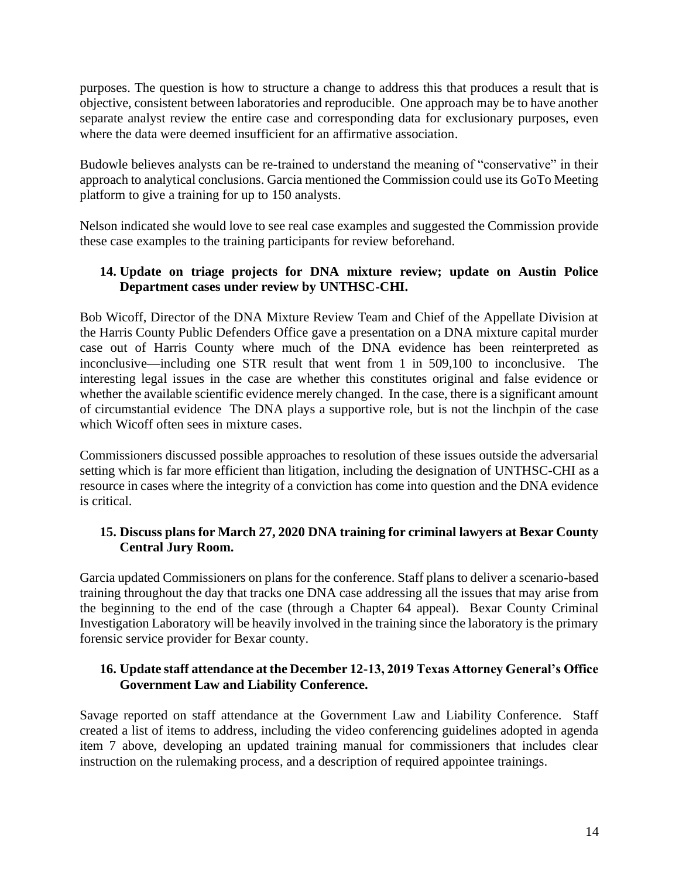purposes. The question is how to structure a change to address this that produces a result that is objective, consistent between laboratories and reproducible. One approach may be to have another separate analyst review the entire case and corresponding data for exclusionary purposes, even where the data were deemed insufficient for an affirmative association.

Budowle believes analysts can be re-trained to understand the meaning of "conservative" in their approach to analytical conclusions. Garcia mentioned the Commission could use its GoTo Meeting platform to give a training for up to 150 analysts.

Nelson indicated she would love to see real case examples and suggested the Commission provide these case examples to the training participants for review beforehand.

### **14. Update on triage projects for DNA mixture review; update on Austin Police Department cases under review by UNTHSC-CHI.**

Bob Wicoff, Director of the DNA Mixture Review Team and Chief of the Appellate Division at the Harris County Public Defenders Office gave a presentation on a DNA mixture capital murder case out of Harris County where much of the DNA evidence has been reinterpreted as inconclusive—including one STR result that went from 1 in 509,100 to inconclusive. The interesting legal issues in the case are whether this constitutes original and false evidence or whether the available scientific evidence merely changed. In the case, there is a significant amount of circumstantial evidence The DNA plays a supportive role, but is not the linchpin of the case which Wicoff often sees in mixture cases.

Commissioners discussed possible approaches to resolution of these issues outside the adversarial setting which is far more efficient than litigation, including the designation of UNTHSC-CHI as a resource in cases where the integrity of a conviction has come into question and the DNA evidence is critical.

### **15. Discuss plans for March 27, 2020 DNA training for criminal lawyers at Bexar County Central Jury Room.**

Garcia updated Commissioners on plans for the conference. Staff plans to deliver a scenario-based training throughout the day that tracks one DNA case addressing all the issues that may arise from the beginning to the end of the case (through a Chapter 64 appeal). Bexar County Criminal Investigation Laboratory will be heavily involved in the training since the laboratory is the primary forensic service provider for Bexar county.

# **16. Update staff attendance at the December 12-13, 2019 Texas Attorney General's Office Government Law and Liability Conference.**

Savage reported on staff attendance at the Government Law and Liability Conference. Staff created a list of items to address, including the video conferencing guidelines adopted in agenda item 7 above, developing an updated training manual for commissioners that includes clear instruction on the rulemaking process, and a description of required appointee trainings.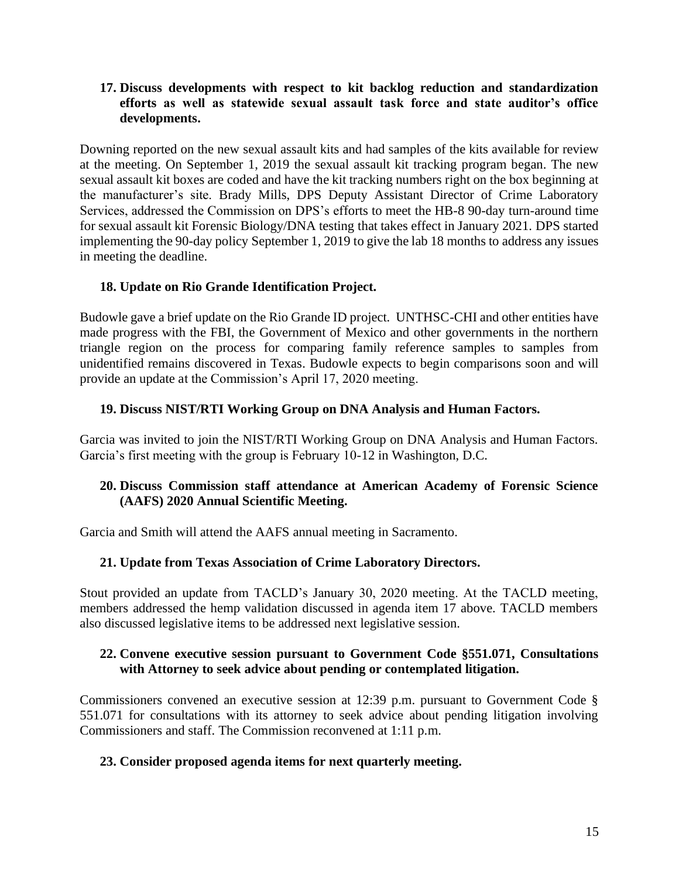#### **17. Discuss developments with respect to kit backlog reduction and standardization efforts as well as statewide sexual assault task force and state auditor's office developments.**

Downing reported on the new sexual assault kits and had samples of the kits available for review at the meeting. On September 1, 2019 the sexual assault kit tracking program began. The new sexual assault kit boxes are coded and have the kit tracking numbers right on the box beginning at the manufacturer's site. Brady Mills, DPS Deputy Assistant Director of Crime Laboratory Services, addressed the Commission on DPS's efforts to meet the HB-8 90-day turn-around time for sexual assault kit Forensic Biology/DNA testing that takes effect in January 2021. DPS started implementing the 90-day policy September 1, 2019 to give the lab 18 months to address any issues in meeting the deadline.

# **18. Update on Rio Grande Identification Project.**

Budowle gave a brief update on the Rio Grande ID project. UNTHSC-CHI and other entities have made progress with the FBI, the Government of Mexico and other governments in the northern triangle region on the process for comparing family reference samples to samples from unidentified remains discovered in Texas. Budowle expects to begin comparisons soon and will provide an update at the Commission's April 17, 2020 meeting.

# **19. Discuss NIST/RTI Working Group on DNA Analysis and Human Factors.**

Garcia was invited to join the NIST/RTI Working Group on DNA Analysis and Human Factors. Garcia's first meeting with the group is February 10-12 in Washington, D.C.

### **20. Discuss Commission staff attendance at American Academy of Forensic Science (AAFS) 2020 Annual Scientific Meeting.**

Garcia and Smith will attend the AAFS annual meeting in Sacramento.

### **21. Update from Texas Association of Crime Laboratory Directors.**

Stout provided an update from TACLD's January 30, 2020 meeting. At the TACLD meeting, members addressed the hemp validation discussed in agenda item 17 above. TACLD members also discussed legislative items to be addressed next legislative session.

### **22. Convene executive session pursuant to Government Code §551.071, Consultations with Attorney to seek advice about pending or contemplated litigation.**

Commissioners convened an executive session at 12:39 p.m. pursuant to Government Code § 551.071 for consultations with its attorney to seek advice about pending litigation involving Commissioners and staff. The Commission reconvened at 1:11 p.m.

### **23. Consider proposed agenda items for next quarterly meeting.**